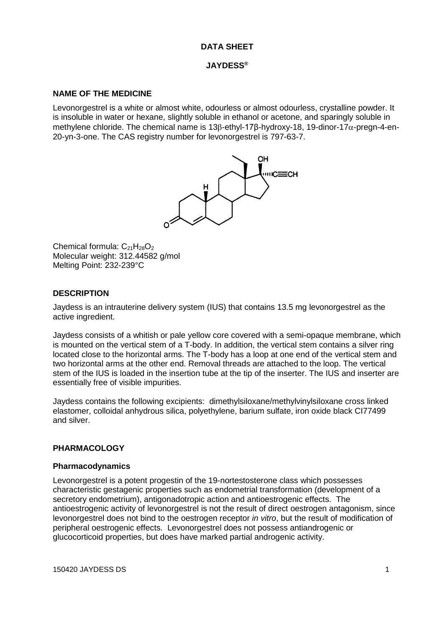# **DATA SHEET**

#### **JAYDESS®**

### **NAME OF THE MEDICINE**

Levonorgestrel is a white or almost white, odourless or almost odourless, crystalline powder. It is insoluble in water or hexane, slightly soluble in ethanol or acetone, and sparingly soluble in methylene chloride. The chemical name is 13β-ethyl-17β-hydroxy-18, 19-dinor-17α-pregn-4-en-20-yn-3-one. The CAS registry number for levonorgestrel is 797-63-7.



Chemical formula:  $C_{21}H_{28}O_2$ Molecular weight: 312.44582 g/mol Melting Point: 232-239°C

## **DESCRIPTION**

Jaydess is an intrauterine delivery system (IUS) that contains 13.5 mg levonorgestrel as the active ingredient.

Jaydess consists of a whitish or pale yellow core covered with a semi-opaque membrane, which is mounted on the vertical stem of a T-body. In addition, the vertical stem contains a silver ring located close to the horizontal arms. The T-body has a loop at one end of the vertical stem and two horizontal arms at the other end. Removal threads are attached to the loop. The vertical stem of the IUS is loaded in the insertion tube at the tip of the inserter. The IUS and inserter are essentially free of visible impurities.

Jaydess contains the following excipients: dimethylsiloxane/methylvinylsiloxane cross linked elastomer, colloidal anhydrous silica, polyethylene, barium sulfate, iron oxide black CI77499 and silver.

## **PHARMACOLOGY**

#### **Pharmacodynamics**

Levonorgestrel is a potent progestin of the 19-nortestosterone class which possesses characteristic gestagenic properties such as endometrial transformation (development of a secretory endometrium), antigonadotropic action and antioestrogenic effects. The antioestrogenic activity of levonorgestrel is not the result of direct oestrogen antagonism, since levonorgestrel does not bind to the oestrogen receptor *in vitro*, but the result of modification of peripheral oestrogenic effects. Levonorgestrel does not possess antiandrogenic or glucocorticoid properties, but does have marked partial androgenic activity.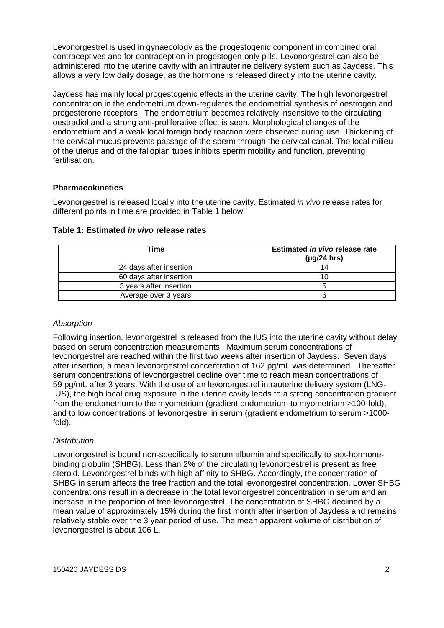Levonorgestrel is used in gynaecology as the progestogenic component in combined oral contraceptives and for contraception in progestogen-only pills. Levonorgestrel can also be administered into the uterine cavity with an intrauterine delivery system such as Jaydess. This allows a very low daily dosage, as the hormone is released directly into the uterine cavity.

Jaydess has mainly local progestogenic effects in the uterine cavity. The high levonorgestrel concentration in the endometrium down-regulates the endometrial synthesis of oestrogen and progesterone receptors. The endometrium becomes relatively insensitive to the circulating oestradiol and a strong anti-proliferative effect is seen. Morphological changes of the endometrium and a weak local foreign body reaction were observed during use. Thickening of the cervical mucus prevents passage of the sperm through the cervical canal. The local milieu of the uterus and of the fallopian tubes inhibits sperm mobility and function, preventing fertilisation.

# **Pharmacokinetics**

Levonorgestrel is released locally into the uterine cavity. Estimated *in vivo* release rates for different points in time are provided in Table 1 below.

| Time                    | Estimated in vivo release rate<br>$(\mu g/24$ hrs) |
|-------------------------|----------------------------------------------------|
| 24 days after insertion |                                                    |
| 60 days after insertion |                                                    |
| 3 years after insertion |                                                    |
| Average over 3 years    |                                                    |

## *Absorption*

Following insertion, levonorgestrel is released from the IUS into the uterine cavity without delay based on serum concentration measurements. Maximum serum concentrations of levonorgestrel are reached within the first two weeks after insertion of Jaydess. Seven days after insertion, a mean levonorgestrel concentration of 162 pg/mL was determined. Thereafter serum concentrations of levonorgestrel decline over time to reach mean concentrations of 59 pg/mL after 3 years. With the use of an levonorgestrel intrauterine delivery system (LNG-IUS), the high local drug exposure in the uterine cavity leads to a strong concentration gradient from the endometrium to the myometrium (gradient endometrium to myometrium >100-fold), and to low concentrations of levonorgestrel in serum (gradient endometrium to serum >1000 fold).

## *Distribution*

Levonorgestrel is bound non-specifically to serum albumin and specifically to sex-hormonebinding globulin (SHBG). Less than 2% of the circulating levonorgestrel is present as free steroid. Levonorgestrel binds with high affinity to SHBG. Accordingly, the concentration of SHBG in serum affects the free fraction and the total levonorgestrel concentration. Lower SHBG concentrations result in a decrease in the total levonorgestrel concentration in serum and an increase in the proportion of free levonorgestrel. The concentration of SHBG declined by a mean value of approximately 15% during the first month after insertion of Jaydess and remains relatively stable over the 3 year period of use. The mean apparent volume of distribution of levonorgestrel is about 106 L.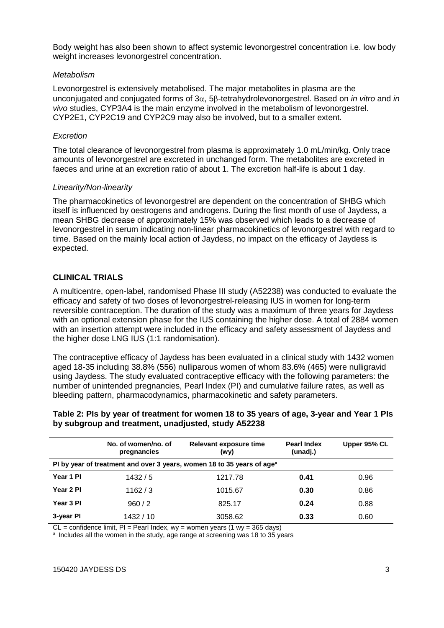Body weight has also been shown to affect systemic levonorgestrel concentration i.e. low body weight increases levonorgestrel concentration.

#### *Metabolism*

Levonorgestrel is extensively metabolised. The major metabolites in plasma are the unconjugated and conjugated forms of 3α, 5β-tetrahydrolevonorgestrel. Based on *in vitro* and *in vivo* studies, CYP3A4 is the main enzyme involved in the metabolism of levonorgestrel. CYP2E1, CYP2C19 and CYP2C9 may also be involved, but to a smaller extent.

### *Excretion*

The total clearance of levonorgestrel from plasma is approximately 1.0 mL/min/kg. Only trace amounts of levonorgestrel are excreted in unchanged form. The metabolites are excreted in faeces and urine at an excretion ratio of about 1. The excretion half-life is about 1 day.

### *Linearity/Non-linearity*

The pharmacokinetics of levonorgestrel are dependent on the concentration of SHBG which itself is influenced by oestrogens and androgens. During the first month of use of Jaydess, a mean SHBG decrease of approximately 15% was observed which leads to a decrease of levonorgestrel in serum indicating non-linear pharmacokinetics of levonorgestrel with regard to time. Based on the mainly local action of Jaydess, no impact on the efficacy of Jaydess is expected.

## **CLINICAL TRIALS**

A multicentre, open-label, randomised Phase III study (A52238) was conducted to evaluate the efficacy and safety of two doses of levonorgestrel-releasing IUS in women for long-term reversible contraception. The duration of the study was a maximum of three years for Jaydess with an optional extension phase for the IUS containing the higher dose. A total of 2884 women with an insertion attempt were included in the efficacy and safety assessment of Jaydess and the higher dose LNG IUS (1:1 randomisation).

The contraceptive efficacy of Jaydess has been evaluated in a clinical study with 1432 women aged 18-35 including 38.8% (556) nulliparous women of whom 83.6% (465) were nulligravid using Jaydess. The study evaluated contraceptive efficacy with the following parameters: the number of unintended pregnancies, Pearl Index (PI) and cumulative failure rates, as well as bleeding pattern, pharmacodynamics, pharmacokinetic and safety parameters.

## **Table 2: PIs by year of treatment for women 18 to 35 years of age, 3-year and Year 1 PIs by subgroup and treatment, unadjusted, study A52238**

|                                                                                    | No. of women/no. of<br>pregnancies | Relevant exposure time<br>(wy) | <b>Pearl Index</b><br>(unadj.) | Upper 95% CL |
|------------------------------------------------------------------------------------|------------------------------------|--------------------------------|--------------------------------|--------------|
| PI by year of treatment and over 3 years, women 18 to 35 years of age <sup>a</sup> |                                    |                                |                                |              |
| Year 1 PI                                                                          | 1432/5                             | 1217.78                        | 0.41                           | 0.96         |
| Year 2 PI                                                                          | 1162/3                             | 1015.67                        | 0.30                           | 0.86         |
| Year 3 PI                                                                          | 960/2                              | 825.17                         | 0.24                           | 0.88         |
| 3-year PI                                                                          | 1432 / 10                          | 3058.62                        | 0.33                           | 0.60         |

 $CL = confidence$  limit,  $PI = Pearl$  Index,  $wy = women$  years (1 wy = 365 days)

<sup>a</sup> Includes all the women in the study, age range at screening was 18 to 35 years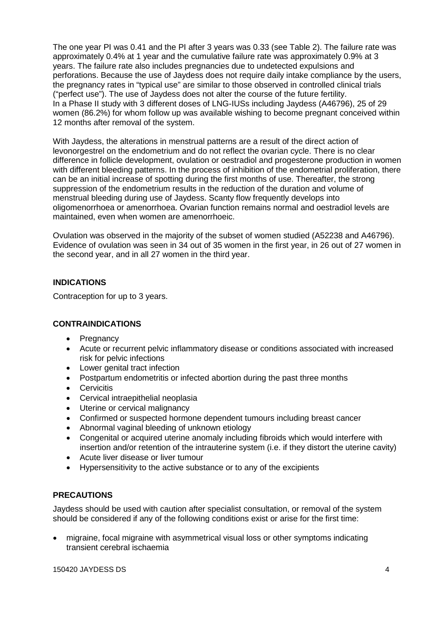The one year PI was 0.41 and the PI after 3 years was 0.33 (see Table 2). The failure rate was approximately 0.4% at 1 year and the cumulative failure rate was approximately 0.9% at 3 years. The failure rate also includes pregnancies due to undetected expulsions and perforations. Because the use of Jaydess does not require daily intake compliance by the users, the pregnancy rates in "typical use" are similar to those observed in controlled clinical trials ("perfect use"). The use of Jaydess does not alter the course of the future fertility. In a Phase II study with 3 different doses of LNG-IUSs including Jaydess (A46796), 25 of 29 women (86.2%) for whom follow up was available wishing to become pregnant conceived within 12 months after removal of the system.

With Jaydess, the alterations in menstrual patterns are a result of the direct action of levonorgestrel on the endometrium and do not reflect the ovarian cycle. There is no clear difference in follicle development, ovulation or oestradiol and progesterone production in women with different bleeding patterns. In the process of inhibition of the endometrial proliferation, there can be an initial increase of spotting during the first months of use. Thereafter, the strong suppression of the endometrium results in the reduction of the duration and volume of menstrual bleeding during use of Jaydess. Scanty flow frequently develops into oligomenorrhoea or amenorrhoea. Ovarian function remains normal and oestradiol levels are maintained, even when women are amenorrhoeic.

Ovulation was observed in the majority of the subset of women studied (A52238 and A46796). Evidence of ovulation was seen in 34 out of 35 women in the first year, in 26 out of 27 women in the second year, and in all 27 women in the third year.

# **INDICATIONS**

Contraception for up to 3 years.

## **CONTRAINDICATIONS**

- Pregnancy
- Acute or recurrent pelvic inflammatory disease or conditions associated with increased risk for pelvic infections
- Lower genital tract infection
- Postpartum endometritis or infected abortion during the past three months
- Cervicitis
- Cervical intraepithelial neoplasia
- Uterine or cervical malignancy
- Confirmed or suspected hormone dependent tumours including breast cancer
- Abnormal vaginal bleeding of unknown etiology
- Congenital or acquired uterine anomaly including fibroids which would interfere with insertion and/or retention of the intrauterine system (i.e. if they distort the uterine cavity)
- Acute liver disease or liver tumour
- Hypersensitivity to the active substance or to any of the excipients

## **PRECAUTIONS**

Jaydess should be used with caution after specialist consultation, or removal of the system should be considered if any of the following conditions exist or arise for the first time:

• migraine, focal migraine with asymmetrical visual loss or other symptoms indicating transient cerebral ischaemia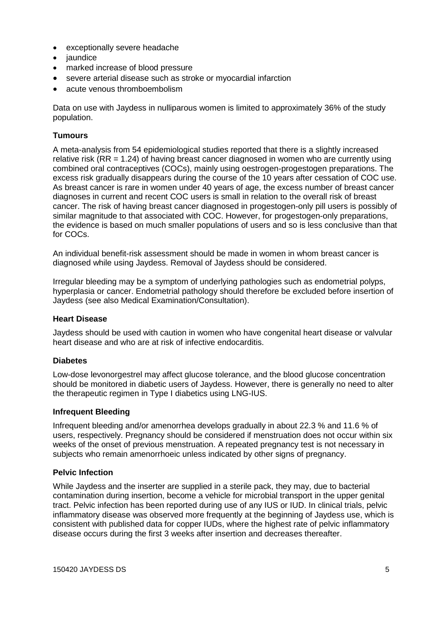- exceptionally severe headache
- jaundice
- marked increase of blood pressure
- severe arterial disease such as stroke or myocardial infarction
- acute venous thromboembolism

Data on use with Jaydess in nulliparous women is limited to approximately 36% of the study population.

# **Tumours**

A meta-analysis from 54 epidemiological studies reported that there is a slightly increased relative risk (RR = 1.24) of having breast cancer diagnosed in women who are currently using combined oral contraceptives (COCs), mainly using oestrogen-progestogen preparations. The excess risk gradually disappears during the course of the 10 years after cessation of COC use. As breast cancer is rare in women under 40 years of age, the excess number of breast cancer diagnoses in current and recent COC users is small in relation to the overall risk of breast cancer. The risk of having breast cancer diagnosed in progestogen-only pill users is possibly of similar magnitude to that associated with COC. However, for progestogen-only preparations, the evidence is based on much smaller populations of users and so is less conclusive than that for COCs.

An individual benefit-risk assessment should be made in women in whom breast cancer is diagnosed while using Jaydess. Removal of Jaydess should be considered.

Irregular bleeding may be a symptom of underlying pathologies such as endometrial polyps, hyperplasia or cancer. Endometrial pathology should therefore be excluded before insertion of Jaydess (see also Medical Examination/Consultation).

## **Heart Disease**

Jaydess should be used with caution in women who have congenital heart disease or valvular heart disease and who are at risk of infective endocarditis.

## **Diabetes**

Low-dose levonorgestrel may affect glucose tolerance, and the blood glucose concentration should be monitored in diabetic users of Jaydess. However, there is generally no need to alter the therapeutic regimen in Type I diabetics using LNG-IUS.

## **Infrequent Bleeding**

Infrequent bleeding and/or amenorrhea develops gradually in about 22.3 % and 11.6 % of users, respectively. Pregnancy should be considered if menstruation does not occur within six weeks of the onset of previous menstruation. A repeated pregnancy test is not necessary in subjects who remain amenorrhoeic unless indicated by other signs of pregnancy.

#### **Pelvic Infection**

While Jaydess and the inserter are supplied in a sterile pack, they may, due to bacterial contamination during insertion, become a vehicle for microbial transport in the upper genital tract. Pelvic infection has been reported during use of any IUS or IUD. In clinical trials, pelvic inflammatory disease was observed more frequently at the beginning of Jaydess use, which is consistent with published data for copper IUDs, where the highest rate of pelvic inflammatory disease occurs during the first 3 weeks after insertion and decreases thereafter.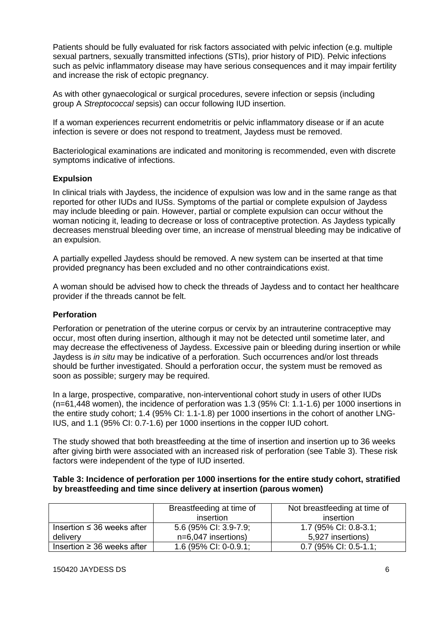Patients should be fully evaluated for risk factors associated with pelvic infection (e.g. multiple sexual partners, sexually transmitted infections (STIs), prior history of PID). Pelvic infections such as pelvic inflammatory disease may have serious consequences and it may impair fertility and increase the risk of ectopic pregnancy.

As with other gynaecological or surgical procedures, severe infection or sepsis (including group A *Streptococcal* sepsis) can occur following IUD insertion.

If a woman experiences recurrent endometritis or pelvic inflammatory disease or if an acute infection is severe or does not respond to treatment, Jaydess must be removed.

Bacteriological examinations are indicated and monitoring is recommended, even with discrete symptoms indicative of infections.

## **Expulsion**

In clinical trials with Jaydess, the incidence of expulsion was low and in the same range as that reported for other IUDs and IUSs. Symptoms of the partial or complete expulsion of Jaydess may include bleeding or pain. However, partial or complete expulsion can occur without the woman noticing it, leading to decrease or loss of contraceptive protection. As Jaydess typically decreases menstrual bleeding over time, an increase of menstrual bleeding may be indicative of an expulsion.

A partially expelled Jaydess should be removed. A new system can be inserted at that time provided pregnancy has been excluded and no other contraindications exist.

A woman should be advised how to check the threads of Jaydess and to contact her healthcare provider if the threads cannot be felt.

#### **Perforation**

Perforation or penetration of the uterine corpus or cervix by an intrauterine contraceptive may occur, most often during insertion, although it may not be detected until sometime later, and may decrease the effectiveness of Jaydess. Excessive pain or bleeding during insertion or while Jaydess is *in situ* may be indicative of a perforation. Such occurrences and/or lost threads should be further investigated. Should a perforation occur, the system must be removed as soon as possible; surgery may be required.

In a large, prospective, comparative, non-interventional cohort study in users of other IUDs (n=61,448 women), the incidence of perforation was 1.3 (95% CI: 1.1-1.6) per 1000 insertions in the entire study cohort; 1.4 (95% CI: 1.1-1.8) per 1000 insertions in the cohort of another LNG-IUS, and 1.1 (95% CI: 0.7-1.6) per 1000 insertions in the copper IUD cohort.

The study showed that both breastfeeding at the time of insertion and insertion up to 36 weeks after giving birth were associated with an increased risk of perforation (see Table 3). These risk factors were independent of the type of IUD inserted.

#### **Table 3: Incidence of perforation per 1000 insertions for the entire study cohort, stratified by breastfeeding and time since delivery at insertion (parous women)**

|                                 | Breastfeeding at time of<br>insertion | Not breastfeeding at time of<br>insertion |
|---------------------------------|---------------------------------------|-------------------------------------------|
| Insertion $\leq$ 36 weeks after | 5.6 (95% CI: 3.9-7.9;                 | 1.7 (95% CI: 0.8-3.1;                     |
| delivery                        | $n=6.047$ insertions)                 | 5,927 insertions)                         |
| Insertion $\geq$ 36 weeks after | 1.6 (95% CI: 0-0.9.1;                 | $0.7$ (95% CI: 0.5-1.1;                   |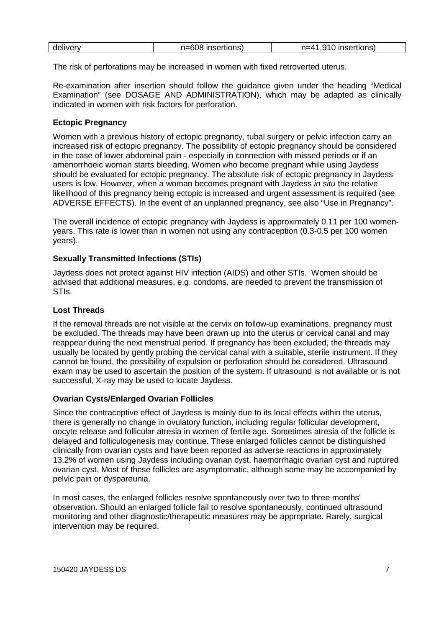| delivery | n=608 insertions) | 910 insertions)<br>$n = 41$ |
|----------|-------------------|-----------------------------|
|          |                   |                             |

The risk of perforations may be increased in women with fixed retroverted uterus.

Re-examination after insertion should follow the guidance given under the heading "Medical Examination" (see DOSAGE AND ADMINISTRATION), which may be adapted as clinically indicated in women with risk factors for perforation.

## **Ectopic Pregnancy**

Women with a previous history of ectopic pregnancy, tubal surgery or pelvic infection carry an increased risk of ectopic pregnancy. The possibility of ectopic pregnancy should be considered in the case of lower abdominal pain - especially in connection with missed periods or if an amenorrhoeic woman starts bleeding. Women who become pregnant while using Jaydess should be evaluated for ectopic pregnancy. The absolute risk of ectopic pregnancy in Jaydess users is low. However, when a woman becomes pregnant with Jaydess *in situ* the relative likelihood of this pregnancy being ectopic is increased and urgent assessment is required (see ADVERSE EFFECTS). In the event of an unplanned pregnancy, see also "Use in Pregnancy".

The overall incidence of ectopic pregnancy with Jaydess is approximately 0.11 per 100 womenyears. This rate is lower than in women not using any contraception (0.3-0.5 per 100 women years).

### **Sexually Transmitted Infections (STIs)**

Jaydess does not protect against HIV infection (AIDS) and other STIs. Women should be advised that additional measures, e.g. condoms, are needed to prevent the transmission of STIs.

### **Lost Threads**

If the removal threads are not visible at the cervix on follow-up examinations, pregnancy must be excluded. The threads may have been drawn up into the uterus or cervical canal and may reappear during the next menstrual period. If pregnancy has been excluded, the threads may usually be located by gently probing the cervical canal with a suitable, sterile instrument. If they cannot be found, the possibility of expulsion or perforation should be considered. Ultrasound exam may be used to ascertain the position of the system. If ultrasound is not available or is not successful, X-ray may be used to locate Jaydess.

#### **Ovarian Cysts/Enlarged Ovarian Follicles**

Since the contraceptive effect of Jaydess is mainly due to its local effects within the uterus, there is generally no change in ovulatory function, including regular follicular development, oocyte release and follicular atresia in women of fertile age. Sometimes atresia of the follicle is delayed and folliculogenesis may continue. These enlarged follicles cannot be distinguished clinically from ovarian cysts and have been reported as adverse reactions in approximately 13.2% of women using Jaydess including ovarian cyst, haemorrhagic ovarian cyst and ruptured ovarian cyst. Most of these follicles are asymptomatic, although some may be accompanied by pelvic pain or dyspareunia.

In most cases, the enlarged follicles resolve spontaneously over two to three months' observation. Should an enlarged follicle fail to resolve spontaneously, continued ultrasound monitoring and other diagnostic/therapeutic measures may be appropriate. Rarely, surgical intervention may be required.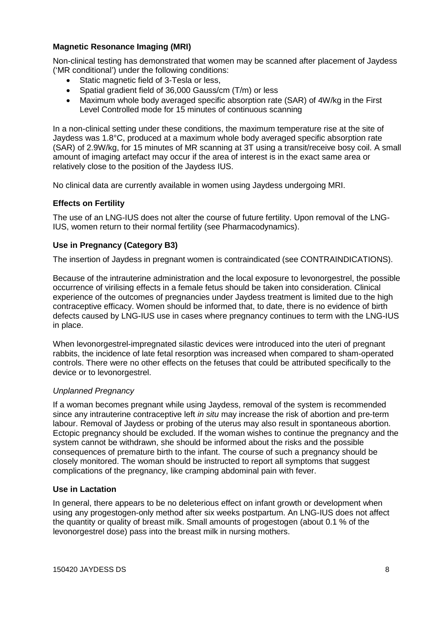# **Magnetic Resonance Imaging (MRI)**

Non-clinical testing has demonstrated that women may be scanned after placement of Jaydess ('MR conditional') under the following conditions:

- Static magnetic field of 3-Tesla or less,
- Spatial gradient field of 36,000 Gauss/cm (T/m) or less
- Maximum whole body averaged specific absorption rate (SAR) of 4W/kg in the First Level Controlled mode for 15 minutes of continuous scanning

In a non-clinical setting under these conditions, the maximum temperature rise at the site of Jaydess was 1.8°C, produced at a maximum whole body averaged specific absorption rate (SAR) of 2.9W/kg, for 15 minutes of MR scanning at 3T using a transit/receive bosy coil. A small amount of imaging artefact may occur if the area of interest is in the exact same area or relatively close to the position of the Jaydess IUS.

No clinical data are currently available in women using Jaydess undergoing MRI.

# **Effects on Fertility**

The use of an LNG-IUS does not alter the course of future fertility. Upon removal of the LNG-IUS, women return to their normal fertility (see Pharmacodynamics).

# **Use in Pregnancy (Category B3)**

The insertion of Jaydess in pregnant women is contraindicated (see CONTRAINDICATIONS).

Because of the intrauterine administration and the local exposure to levonorgestrel, the possible occurrence of virilising effects in a female fetus should be taken into consideration. Clinical experience of the outcomes of pregnancies under Jaydess treatment is limited due to the high contraceptive efficacy. Women should be informed that, to date, there is no evidence of birth defects caused by LNG-IUS use in cases where pregnancy continues to term with the LNG-IUS in place.

When levonorgestrel-impregnated silastic devices were introduced into the uteri of pregnant rabbits, the incidence of late fetal resorption was increased when compared to sham-operated controls. There were no other effects on the fetuses that could be attributed specifically to the device or to levonorgestrel.

## *Unplanned Pregnancy*

If a woman becomes pregnant while using Jaydess, removal of the system is recommended since any intrauterine contraceptive left *in situ* may increase the risk of abortion and pre-term labour. Removal of Jaydess or probing of the uterus may also result in spontaneous abortion. Ectopic pregnancy should be excluded. If the woman wishes to continue the pregnancy and the system cannot be withdrawn, she should be informed about the risks and the possible consequences of premature birth to the infant. The course of such a pregnancy should be closely monitored. The woman should be instructed to report all symptoms that suggest complications of the pregnancy, like cramping abdominal pain with fever.

## **Use in Lactation**

In general, there appears to be no deleterious effect on infant growth or development when using any progestogen-only method after six weeks postpartum. An LNG-IUS does not affect the quantity or quality of breast milk. Small amounts of progestogen (about 0.1 % of the levonorgestrel dose) pass into the breast milk in nursing mothers.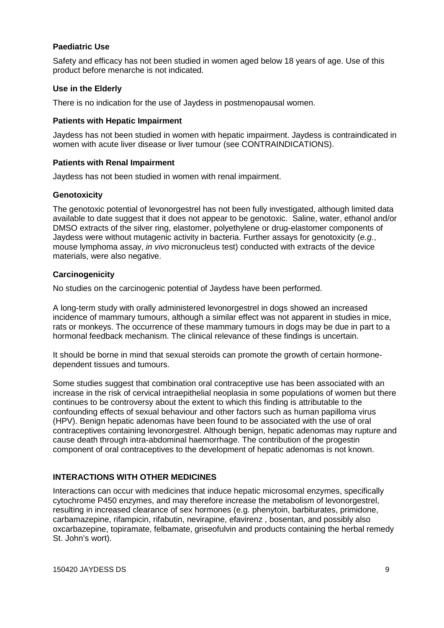### **Paediatric Use**

Safety and efficacy has not been studied in women aged below 18 years of age. Use of this product before menarche is not indicated.

### **Use in the Elderly**

There is no indication for the use of Jaydess in postmenopausal women.

#### **Patients with Hepatic Impairment**

Jaydess has not been studied in women with hepatic impairment. Jaydess is contraindicated in women with acute liver disease or liver tumour (see CONTRAINDICATIONS).

#### **Patients with Renal Impairment**

Jaydess has not been studied in women with renal impairment.

### **Genotoxicity**

The genotoxic potential of levonorgestrel has not been fully investigated, although limited data available to date suggest that it does not appear to be genotoxic. Saline, water, ethanol and/or DMSO extracts of the silver ring, elastomer, polyethylene or drug-elastomer components of Jaydess were without mutagenic activity in bacteria. Further assays for genotoxicity (*e.g.*, mouse lymphoma assay, *in vivo* micronucleus test) conducted with extracts of the device materials, were also negative.

### **Carcinogenicity**

No studies on the carcinogenic potential of Jaydess have been performed.

A long-term study with orally administered levonorgestrel in dogs showed an increased incidence of mammary tumours, although a similar effect was not apparent in studies in mice, rats or monkeys. The occurrence of these mammary tumours in dogs may be due in part to a hormonal feedback mechanism. The clinical relevance of these findings is uncertain.

It should be borne in mind that sexual steroids can promote the growth of certain hormonedependent tissues and tumours.

Some studies suggest that combination oral contraceptive use has been associated with an increase in the risk of cervical intraepithelial neoplasia in some populations of women but there continues to be controversy about the extent to which this finding is attributable to the confounding effects of sexual behaviour and other factors such as human papilloma virus (HPV). Benign hepatic adenomas have been found to be associated with the use of oral contraceptives containing levonorgestrel. Although benign, hepatic adenomas may rupture and cause death through intra-abdominal haemorrhage. The contribution of the progestin component of oral contraceptives to the development of hepatic adenomas is not known.

## **INTERACTIONS WITH OTHER MEDICINES**

Interactions can occur with medicines that induce hepatic microsomal enzymes, specifically cytochrome P450 enzymes, and may therefore increase the metabolism of levonorgestrel, resulting in increased clearance of sex hormones (e.g. phenytoin, barbiturates, primidone, carbamazepine, rifampicin, rifabutin, nevirapine, efavirenz , bosentan, and possibly also oxcarbazepine, topiramate, felbamate, griseofulvin and products containing the herbal remedy St. John's wort).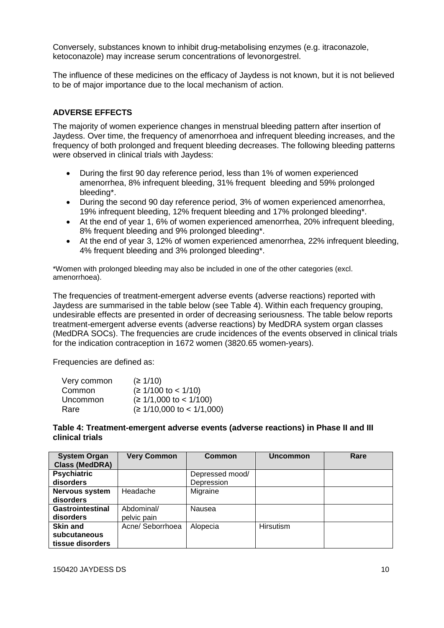Conversely, substances known to inhibit drug-metabolising enzymes (e.g. itraconazole, ketoconazole) may increase serum concentrations of levonorgestrel.

The influence of these medicines on the efficacy of Jaydess is not known, but it is not believed to be of major importance due to the local mechanism of action.

# **ADVERSE EFFECTS**

The majority of women experience changes in menstrual bleeding pattern after insertion of Jaydess. Over time, the frequency of amenorrhoea and infrequent bleeding increases, and the frequency of both prolonged and frequent bleeding decreases. The following bleeding patterns were observed in clinical trials with Jaydess:

- During the first 90 day reference period, less than 1% of women experienced amenorrhea, 8% infrequent bleeding, 31% frequent bleeding and 59% prolonged bleeding\*.
- During the second 90 day reference period, 3% of women experienced amenorrhea, 19% infrequent bleeding, 12% frequent bleeding and 17% prolonged bleeding\*.
- At the end of year 1, 6% of women experienced amenorrhea, 20% infrequent bleeding. 8% frequent bleeding and 9% prolonged bleeding\*.
- At the end of year 3, 12% of women experienced amenorrhea, 22% infrequent bleeding, 4% frequent bleeding and 3% prolonged bleeding\*.

\*Women with prolonged bleeding may also be included in one of the other categories (excl. amenorrhoea).

The frequencies of treatment-emergent adverse events (adverse reactions) reported with Jaydess are summarised in the table below (see Table 4). Within each frequency grouping, undesirable effects are presented in order of decreasing seriousness. The table below reports treatment-emergent adverse events (adverse reactions) by MedDRA system organ classes (MedDRA SOCs). The frequencies are crude incidences of the events observed in clinical trials for the indication contraception in 1672 women (3820.65 women-years).

Frequencies are defined as:

| Very common | (≥ 1/10)                    |
|-------------|-----------------------------|
| Common      | $(≥ 1/100$ to < 1/10)       |
| Uncommon    | $(≥ 1/1,000$ to < 1/100)    |
| Rare        | $(≥ 1/10,000$ to < 1/1,000) |

### **Table 4: Treatment-emergent adverse events (adverse reactions) in Phase II and III clinical trials**

| <b>System Organ</b>     | <b>Very Common</b> | Common          | <b>Uncommon</b>  | Rare |
|-------------------------|--------------------|-----------------|------------------|------|
| <b>Class (MedDRA)</b>   |                    |                 |                  |      |
| <b>Psychiatric</b>      |                    | Depressed mood/ |                  |      |
| disorders               |                    | Depression      |                  |      |
| Nervous system          | Headache           | Migraine        |                  |      |
| disorders               |                    |                 |                  |      |
| <b>Gastrointestinal</b> | Abdominal/         | Nausea          |                  |      |
| disorders               | pelvic pain        |                 |                  |      |
| Skin and                | Acne/ Seborrhoea   | Alopecia        | <b>Hirsutism</b> |      |
| subcutaneous            |                    |                 |                  |      |
| tissue disorders        |                    |                 |                  |      |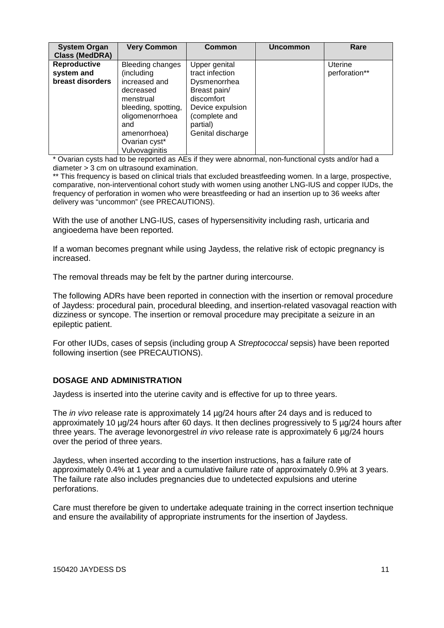| <b>System Organ</b><br><b>Class (MedDRA)</b>   | <b>Very Common</b>                                                                                                                                                            | <b>Common</b>                                                                                                                                        | <b>Uncommon</b> | Rare                     |
|------------------------------------------------|-------------------------------------------------------------------------------------------------------------------------------------------------------------------------------|------------------------------------------------------------------------------------------------------------------------------------------------------|-----------------|--------------------------|
| Reproductive<br>system and<br>breast disorders | Bleeding changes<br>(including<br>increased and<br>decreased<br>menstrual<br>bleeding, spotting,<br>oligomenorrhoea<br>and<br>amenorrhoea)<br>Ovarian cyst*<br>Vulvovaginitis | Upper genital<br>tract infection<br>Dysmenorrhea<br>Breast pain/<br>discomfort<br>Device expulsion<br>(complete and<br>partial)<br>Genital discharge |                 | Uterine<br>perforation** |

\* Ovarian cysts had to be reported as AEs if they were abnormal, non-functional cysts and/or had a diameter > 3 cm on ultrasound examination.

\*\* This frequency is based on clinical trials that excluded breastfeeding women. In a large, prospective, comparative, non-interventional cohort study with women using another LNG-IUS and copper IUDs, the frequency of perforation in women who were breastfeeding or had an insertion up to 36 weeks after delivery was "uncommon" (see PRECAUTIONS).

With the use of another LNG-IUS, cases of hypersensitivity including rash, urticaria and angioedema have been reported.

If a woman becomes pregnant while using Jaydess, the relative risk of ectopic pregnancy is increased.

The removal threads may be felt by the partner during intercourse.

The following ADRs have been reported in connection with the insertion or removal procedure of Jaydess: procedural pain, procedural bleeding, and insertion-related vasovagal reaction with dizziness or syncope. The insertion or removal procedure may precipitate a seizure in an epileptic patient.

For other IUDs, cases of sepsis (including group A *Streptococcal* sepsis) have been reported following insertion (see PRECAUTIONS).

## **DOSAGE AND ADMINISTRATION**

Jaydess is inserted into the uterine cavity and is effective for up to three years.

The *in vivo* release rate is approximately 14 µg/24 hours after 24 days and is reduced to approximately 10 µg/24 hours after 60 days. It then declines progressively to 5 µg/24 hours after three years. The average levonorgestrel *in vivo* release rate is approximately 6 µg/24 hours over the period of three years.

Jaydess, when inserted according to the insertion instructions, has a failure rate of approximately 0.4% at 1 year and a cumulative failure rate of approximately 0.9% at 3 years. The failure rate also includes pregnancies due to undetected expulsions and uterine perforations.

Care must therefore be given to undertake adequate training in the correct insertion technique and ensure the availability of appropriate instruments for the insertion of Jaydess.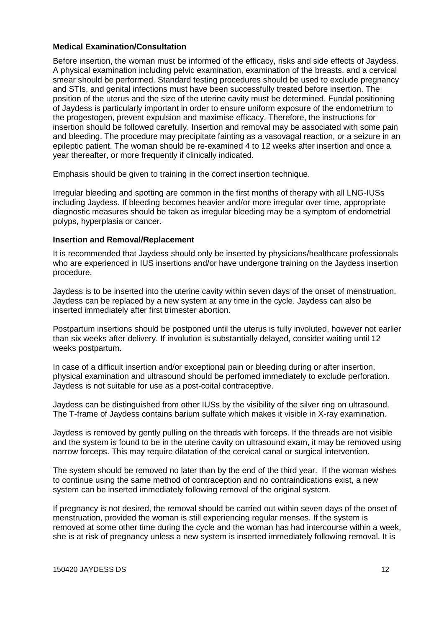## **Medical Examination/Consultation**

Before insertion, the woman must be informed of the efficacy, risks and side effects of Jaydess. A physical examination including pelvic examination, examination of the breasts, and a cervical smear should be performed. Standard testing procedures should be used to exclude pregnancy and STIs, and genital infections must have been successfully treated before insertion. The position of the uterus and the size of the uterine cavity must be determined. Fundal positioning of Jaydess is particularly important in order to ensure uniform exposure of the endometrium to the progestogen, prevent expulsion and maximise efficacy. Therefore, the instructions for insertion should be followed carefully. Insertion and removal may be associated with some pain and bleeding. The procedure may precipitate fainting as a vasovagal reaction, or a seizure in an epileptic patient. The woman should be re-examined 4 to 12 weeks after insertion and once a year thereafter, or more frequently if clinically indicated.

Emphasis should be given to training in the correct insertion technique.

Irregular bleeding and spotting are common in the first months of therapy with all LNG-IUSs including Jaydess. If bleeding becomes heavier and/or more irregular over time, appropriate diagnostic measures should be taken as irregular bleeding may be a symptom of endometrial polyps, hyperplasia or cancer.

# **Insertion and Removal/Replacement**

It is recommended that Jaydess should only be inserted by physicians/healthcare professionals who are experienced in IUS insertions and/or have undergone training on the Jaydess insertion procedure.

Jaydess is to be inserted into the uterine cavity within seven days of the onset of menstruation. Jaydess can be replaced by a new system at any time in the cycle. Jaydess can also be inserted immediately after first trimester abortion.

Postpartum insertions should be postponed until the uterus is fully involuted, however not earlier than six weeks after delivery. If involution is substantially delayed, consider waiting until 12 weeks postpartum.

In case of a difficult insertion and/or exceptional pain or bleeding during or after insertion, physical examination and ultrasound should be perfomed immediately to exclude perforation. Jaydess is not suitable for use as a post-coital contraceptive.

Jaydess can be distinguished from other IUSs by the visibility of the silver ring on ultrasound. The T-frame of Jaydess contains barium sulfate which makes it visible in X-ray examination.

Jaydess is removed by gently pulling on the threads with forceps. If the threads are not visible and the system is found to be in the uterine cavity on ultrasound exam, it may be removed using narrow forceps. This may require dilatation of the cervical canal or surgical intervention.

The system should be removed no later than by the end of the third year. If the woman wishes to continue using the same method of contraception and no contraindications exist, a new system can be inserted immediately following removal of the original system.

If pregnancy is not desired, the removal should be carried out within seven days of the onset of menstruation, provided the woman is still experiencing regular menses. If the system is removed at some other time during the cycle and the woman has had intercourse within a week, she is at risk of pregnancy unless a new system is inserted immediately following removal. It is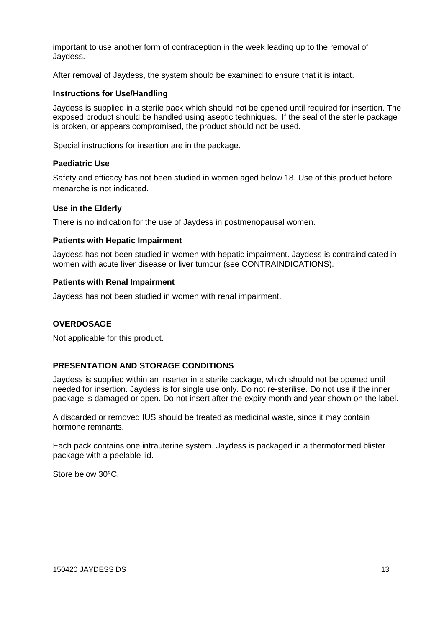important to use another form of contraception in the week leading up to the removal of Jaydess.

After removal of Jaydess, the system should be examined to ensure that it is intact.

### **Instructions for Use/Handling**

Jaydess is supplied in a sterile pack which should not be opened until required for insertion. The exposed product should be handled using aseptic techniques. If the seal of the sterile package is broken, or appears compromised, the product should not be used.

Special instructions for insertion are in the package.

## **Paediatric Use**

Safety and efficacy has not been studied in women aged below 18. Use of this product before menarche is not indicated.

### **Use in the Elderly**

There is no indication for the use of Jaydess in postmenopausal women.

### **Patients with Hepatic Impairment**

Jaydess has not been studied in women with hepatic impairment. Jaydess is contraindicated in women with acute liver disease or liver tumour (see CONTRAINDICATIONS).

### **Patients with Renal Impairment**

Jaydess has not been studied in women with renal impairment.

## **OVERDOSAGE**

Not applicable for this product.

## **PRESENTATION AND STORAGE CONDITIONS**

Jaydess is supplied within an inserter in a sterile package, which should not be opened until needed for insertion. Jaydess is for single use only. Do not re-sterilise. Do not use if the inner package is damaged or open. Do not insert after the expiry month and year shown on the label.

A discarded or removed IUS should be treated as medicinal waste, since it may contain hormone remnants.

Each pack contains one intrauterine system. Jaydess is packaged in a thermoformed blister package with a peelable lid.

Store below 30°C.